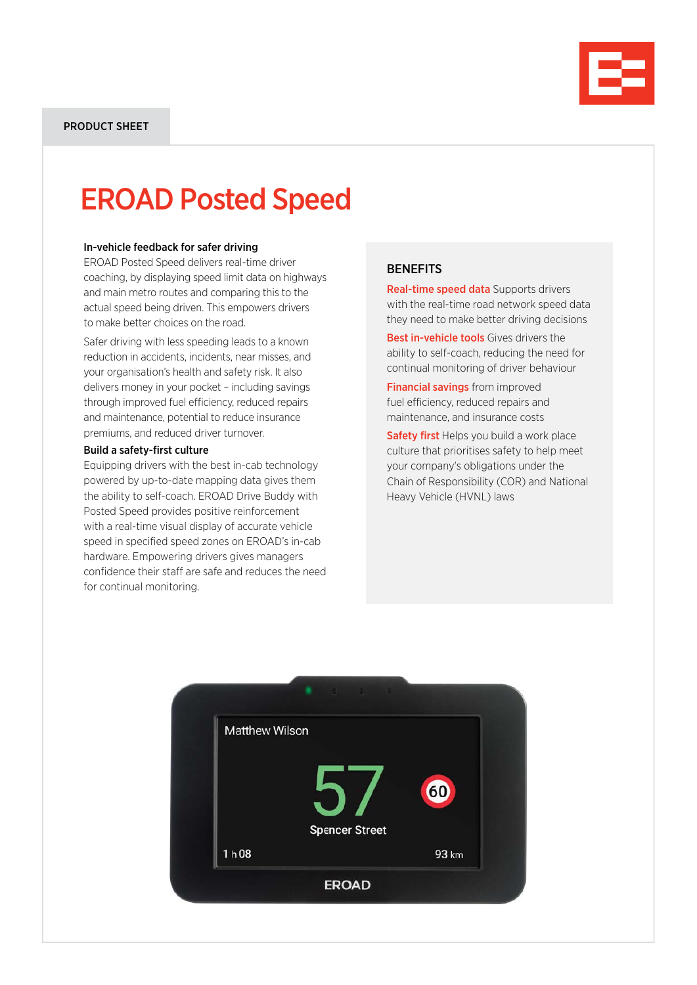

# EROAD Posted Speed

### In-vehicle feedback for safer driving

EROAD Posted Speed delivers real-time driver coaching, by displaying speed limit data on highways and main metro routes and comparing this to the actual speed being driven. This empowers drivers to make better choices on the road.

Safer driving with less speeding leads to a known reduction in accidents, incidents, near misses, and your organisation's health and safety risk. It also delivers money in your pocket – including savings through improved fuel efficiency, reduced repairs and maintenance, potential to reduce insurance premiums, and reduced driver turnover.

#### Build a safety-first culture

Equipping drivers with the best in-cab technology powered by up-to-date mapping data gives them the ability to self-coach. EROAD Drive Buddy with Posted Speed provides positive reinforcement with a real-time visual display of accurate vehicle speed in specified speed zones on EROAD's in-cab hardware. Empowering drivers gives managers confidence their staff are safe and reduces the need for continual monitoring.

### **BENEFITS**

Real-time speed data Supports drivers with the real-time road network speed data they need to make better driving decisions

Best in-vehicle tools Gives drivers the ability to self-coach, reducing the need for continual monitoring of driver behaviour

**Financial savings** from improved fuel efficiency, reduced repairs and maintenance, and insurance costs

Safety first Helps you build a work place culture that prioritises safety to help meet your company's obligations under the Chain of Responsibility (COR) and National Heavy Vehicle (HVNL) laws